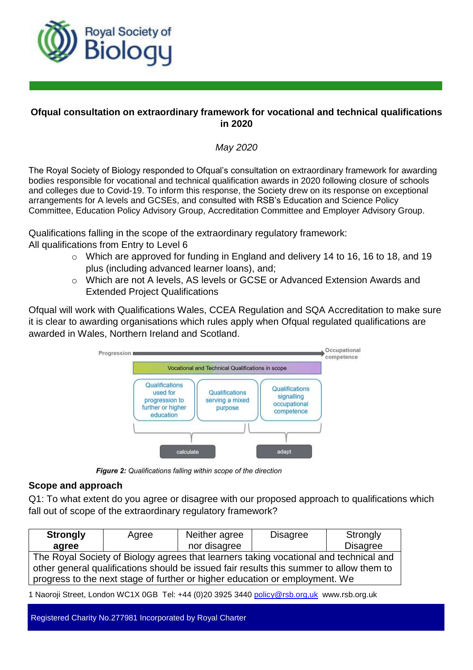

## **Ofqual consultation on extraordinary framework for vocational and technical qualifications in 2020**

# *May 2020*

The Royal Society of Biology responded to Ofqual's consultation on extraordinary framework for awarding bodies responsible for vocational and technical qualification awards in 2020 following closure of schools and colleges due to Covid-19. To inform this response, the Society drew on its response on exceptional arrangements for A levels and GCSEs, and consulted with RSB's Education and Science Policy Committee, Education Policy Advisory Group, Accreditation Committee and Employer Advisory Group.

Qualifications falling in the scope of the extraordinary regulatory framework:

All qualifications from Entry to Level 6

- o Which are approved for funding in England and delivery 14 to 16, 16 to 18, and 19 plus (including advanced learner loans), and;
- o Which are not A levels, AS levels or GCSE or Advanced Extension Awards and Extended Project Qualifications

Ofqual will work with Qualifications Wales, CCEA Regulation and SQA Accreditation to make sure it is clear to awarding organisations which rules apply when Ofqual regulated qualifications are awarded in Wales, Northern Ireland and Scotland.



Figure 2: Qualifications falling within scope of the direction

# **Scope and approach**

Q1: To what extent do you agree or disagree with our proposed approach to qualifications which fall out of scope of the extraordinary regulatory framework?

| <b>Strongly</b>                                                                         | Agree | Neither agree | <b>Disagree</b> | Strongly        |
|-----------------------------------------------------------------------------------------|-------|---------------|-----------------|-----------------|
| agree                                                                                   |       | nor disagree  |                 | <b>Disagree</b> |
| The Royal Society of Biology agrees that learners taking vocational and technical and   |       |               |                 |                 |
| other general qualifications should be issued fair results this summer to allow them to |       |               |                 |                 |
| progress to the next stage of further or higher education or employment. We             |       |               |                 |                 |

1 Naoroji Street, London WC1X 0GB Tel: +44 (0)20 3925 3440 policy@rsb.org,uk www.rsb.org.uk

Registered Charity No.277981 Incorporated by Royal Charter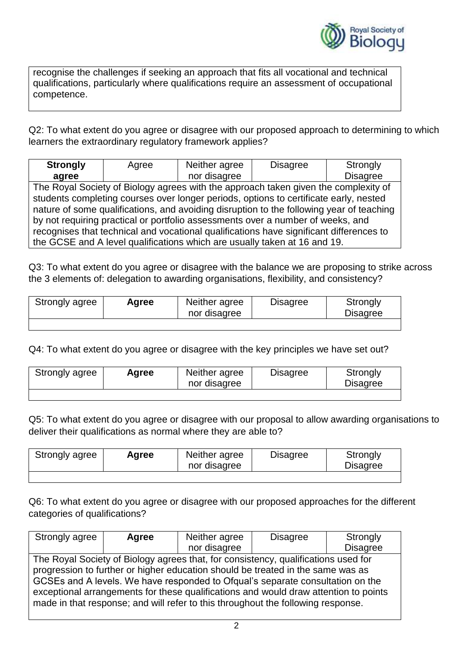

recognise the challenges if seeking an approach that fits all vocational and technical qualifications, particularly where qualifications require an assessment of occupational competence.

Q2: To what extent do you agree or disagree with our proposed approach to determining to which learners the extraordinary regulatory framework applies?

| <b>Strongly</b>                                                                          | Agree                                                                                 | Neither agree | <b>Disagree</b>                                                                     | Strongly        |
|------------------------------------------------------------------------------------------|---------------------------------------------------------------------------------------|---------------|-------------------------------------------------------------------------------------|-----------------|
| agree                                                                                    |                                                                                       | nor disagree  |                                                                                     | <b>Disagree</b> |
|                                                                                          |                                                                                       |               | The Royal Society of Biology agrees with the approach taken given the complexity of |                 |
|                                                                                          | students completing courses over longer periods, options to certificate early, nested |               |                                                                                     |                 |
| nature of some qualifications, and avoiding disruption to the following year of teaching |                                                                                       |               |                                                                                     |                 |
| by not requiring practical or portfolio assessments over a number of weeks, and          |                                                                                       |               |                                                                                     |                 |
| recognises that technical and vocational qualifications have significant differences to  |                                                                                       |               |                                                                                     |                 |
| the GCSE and A level qualifications which are usually taken at 16 and 19.                |                                                                                       |               |                                                                                     |                 |

Q3: To what extent do you agree or disagree with the balance we are proposing to strike across the 3 elements of: delegation to awarding organisations, flexibility, and consistency?

| Strongly agree | Agree | Neither agree<br>nor disagree | <b>Disagree</b> | Strongly<br><b>Disagree</b> |
|----------------|-------|-------------------------------|-----------------|-----------------------------|
|                |       |                               |                 |                             |

Q4: To what extent do you agree or disagree with the key principles we have set out?

| Strongly agree | Agree | Neither agree<br>nor disagree | <b>Disagree</b> | Strongly<br><b>Disagree</b> |
|----------------|-------|-------------------------------|-----------------|-----------------------------|
|                |       |                               |                 |                             |

Q5: To what extent do you agree or disagree with our proposal to allow awarding organisations to deliver their qualifications as normal where they are able to?

| Strongly agree | Agree | Neither agree<br>nor disagree | <b>Disagree</b> | Strongly<br><b>Disagree</b> |
|----------------|-------|-------------------------------|-----------------|-----------------------------|
|                |       |                               |                 |                             |

Q6: To what extent do you agree or disagree with our proposed approaches for the different categories of qualifications?

| Strongly agree                                                                                                                                                           | Agree | Neither agree | <b>Disagree</b> | Strongly        |
|--------------------------------------------------------------------------------------------------------------------------------------------------------------------------|-------|---------------|-----------------|-----------------|
|                                                                                                                                                                          |       | nor disagree  |                 | <b>Disagree</b> |
| The Royal Society of Biology agrees that, for consistency, qualifications used for                                                                                       |       |               |                 |                 |
| progression to further or higher education should be treated in the same was as                                                                                          |       |               |                 |                 |
| GCSEs and A levels. We have responded to Ofqual's separate consultation on the                                                                                           |       |               |                 |                 |
| exceptional arrangements for these qualifications and would draw attention to points<br>made in that response; and will refer to this throughout the following response. |       |               |                 |                 |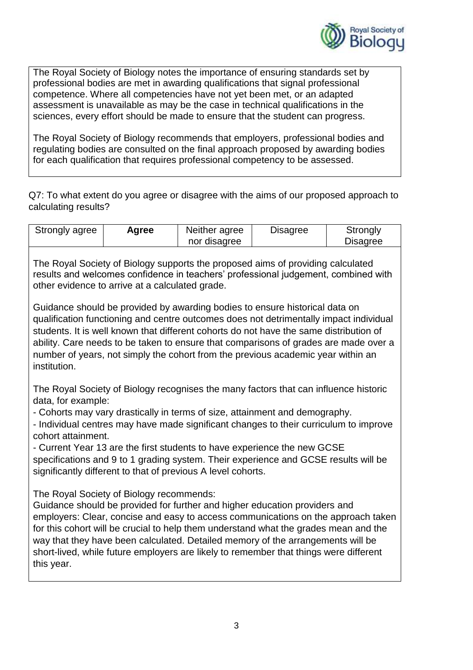

The Royal Society of Biology notes the importance of ensuring standards set by professional bodies are met in awarding qualifications that signal professional competence. Where all competencies have not yet been met, or an adapted assessment is unavailable as may be the case in technical qualifications in the sciences, every effort should be made to ensure that the student can progress.

The Royal Society of Biology recommends that employers, professional bodies and regulating bodies are consulted on the final approach proposed by awarding bodies for each qualification that requires professional competency to be assessed.

Q7: To what extent do you agree or disagree with the aims of our proposed approach to calculating results?

| Strongly agree | Agree | Neither agree | <b>Disagree</b> | Strongly        |
|----------------|-------|---------------|-----------------|-----------------|
|                |       | nor disagree  |                 | <b>Disagree</b> |

The Royal Society of Biology supports the proposed aims of providing calculated results and welcomes confidence in teachers' professional judgement, combined with other evidence to arrive at a calculated grade.

Guidance should be provided by awarding bodies to ensure historical data on qualification functioning and centre outcomes does not detrimentally impact individual students. It is well known that different cohorts do not have the same distribution of ability. Care needs to be taken to ensure that comparisons of grades are made over a number of years, not simply the cohort from the previous academic year within an institution.

The Royal Society of Biology recognises the many factors that can influence historic data, for example:

- Cohorts may vary drastically in terms of size, attainment and demography.

- Individual centres may have made significant changes to their curriculum to improve cohort attainment.

- Current Year 13 are the first students to have experience the new GCSE specifications and 9 to 1 grading system. Their experience and GCSE results will be significantly different to that of previous A level cohorts.

The Royal Society of Biology recommends:

Guidance should be provided for further and higher education providers and employers: Clear, concise and easy to access communications on the approach taken for this cohort will be crucial to help them understand what the grades mean and the way that they have been calculated. Detailed memory of the arrangements will be short-lived, while future employers are likely to remember that things were different this year.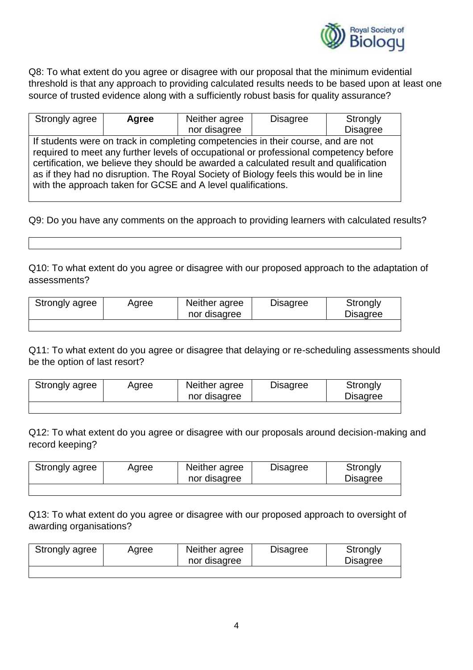

Q8: To what extent do you agree or disagree with our proposal that the minimum evidential threshold is that any approach to providing calculated results needs to be based upon at least one source of trusted evidence along with a sufficiently robust basis for quality assurance?

| Strongly agree                                                                         | Agree | Neither agree                                                | <b>Disagree</b> | Strongly        |
|----------------------------------------------------------------------------------------|-------|--------------------------------------------------------------|-----------------|-----------------|
|                                                                                        |       | nor disagree                                                 |                 | <b>Disagree</b> |
| If students were on track in completing competencies in their course, and are not      |       |                                                              |                 |                 |
| required to meet any further levels of occupational or professional competency before  |       |                                                              |                 |                 |
| certification, we believe they should be awarded a calculated result and qualification |       |                                                              |                 |                 |
| as if they had no disruption. The Royal Society of Biology feels this would be in line |       |                                                              |                 |                 |
|                                                                                        |       | with the approach taken for GCSE and A level qualifications. |                 |                 |

Q9: Do you have any comments on the approach to providing learners with calculated results?

Q10: To what extent do you agree or disagree with our proposed approach to the adaptation of assessments?

| Strongly agree | Agree | Neither agree<br>nor disagree | <b>Disagree</b> | Strongly<br><b>Disagree</b> |
|----------------|-------|-------------------------------|-----------------|-----------------------------|
|                |       |                               |                 |                             |

Q11: To what extent do you agree or disagree that delaying or re-scheduling assessments should be the option of last resort?

| Strongly agree | Agree | Neither agree | <b>Disagree</b> | Strongly        |
|----------------|-------|---------------|-----------------|-----------------|
|                |       | nor disagree  |                 | <b>Disagree</b> |
|                |       |               |                 |                 |

Q12: To what extent do you agree or disagree with our proposals around decision-making and record keeping?

| Strongly agree | Agree | Neither agree<br>nor disagree | <b>Disagree</b> | Strongly<br><b>Disagree</b> |
|----------------|-------|-------------------------------|-----------------|-----------------------------|
|                |       |                               |                 |                             |

Q13: To what extent do you agree or disagree with our proposed approach to oversight of awarding organisations?

| Strongly agree | Agree | Neither agree<br>nor disagree | <b>Disagree</b> | Strongly<br><b>Disagree</b> |
|----------------|-------|-------------------------------|-----------------|-----------------------------|
|                |       |                               |                 |                             |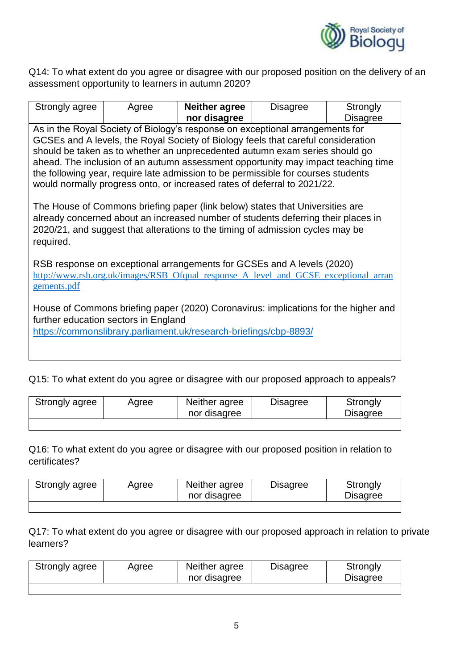

Q14: To what extent do you agree or disagree with our proposed position on the delivery of an assessment opportunity to learners in autumn 2020?

| Strongly agree                                                                                                                                                                                                                                                                                                                                                                                                                                                                                                                                                                                                                                                                                                                                                               | Agree | <b>Neither agree</b><br>nor disagree | <b>Disagree</b> | Strongly<br><b>Disagree</b> |  |  |
|------------------------------------------------------------------------------------------------------------------------------------------------------------------------------------------------------------------------------------------------------------------------------------------------------------------------------------------------------------------------------------------------------------------------------------------------------------------------------------------------------------------------------------------------------------------------------------------------------------------------------------------------------------------------------------------------------------------------------------------------------------------------------|-------|--------------------------------------|-----------------|-----------------------------|--|--|
| As in the Royal Society of Biology's response on exceptional arrangements for<br>GCSEs and A levels, the Royal Society of Biology feels that careful consideration<br>should be taken as to whether an unprecedented autumn exam series should go<br>ahead. The inclusion of an autumn assessment opportunity may impact teaching time<br>the following year, require late admission to be permissible for courses students<br>would normally progress onto, or increased rates of deferral to 2021/22.<br>The House of Commons briefing paper (link below) states that Universities are<br>already concerned about an increased number of students deferring their places in<br>2020/21, and suggest that alterations to the timing of admission cycles may be<br>required. |       |                                      |                 |                             |  |  |
| RSB response on exceptional arrangements for GCSEs and A levels (2020)<br>http://www.rsb.org.uk/images/RSB_Ofqual_response_A_level_and_GCSE_exceptional_arran<br>gements.pdf                                                                                                                                                                                                                                                                                                                                                                                                                                                                                                                                                                                                 |       |                                      |                 |                             |  |  |
| House of Commons briefing paper (2020) Coronavirus: implications for the higher and<br>further education sectors in England<br>https://commonslibrary.parliament.uk/research-briefings/cbp-8893/                                                                                                                                                                                                                                                                                                                                                                                                                                                                                                                                                                             |       |                                      |                 |                             |  |  |

Q15: To what extent do you agree or disagree with our proposed approach to appeals?

| Strongly agree | Agree | Neither agree<br>nor disagree | <b>Disagree</b> | Strongly<br><b>Disagree</b> |
|----------------|-------|-------------------------------|-----------------|-----------------------------|
|                |       |                               |                 |                             |

Q16: To what extent do you agree or disagree with our proposed position in relation to certificates?

| Strongly agree | Agree | Neither agree<br>nor disagree | <b>Disagree</b> | Strongly<br><b>Disagree</b> |
|----------------|-------|-------------------------------|-----------------|-----------------------------|
|                |       |                               |                 |                             |

Q17: To what extent do you agree or disagree with our proposed approach in relation to private learners?

| Strongly agree | Agree | Neither agree<br>nor disagree | <b>Disagree</b> | Strongly<br><b>Disagree</b> |
|----------------|-------|-------------------------------|-----------------|-----------------------------|
|                |       |                               |                 |                             |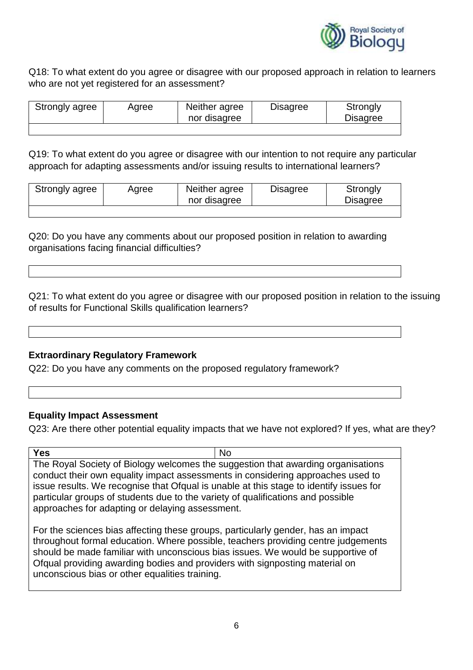

Q18: To what extent do you agree or disagree with our proposed approach in relation to learners who are not yet registered for an assessment?

| Strongly agree | Agree | Neither agree<br>nor disagree | <b>Disagree</b> | Strongly<br><b>Disagree</b> |
|----------------|-------|-------------------------------|-----------------|-----------------------------|
|                |       |                               |                 |                             |

Q19: To what extent do you agree or disagree with our intention to not require any particular approach for adapting assessments and/or issuing results to international learners?

| Strongly agree | Agree | Neither agree<br>nor disagree | <b>Disagree</b> | Strongly<br><b>Disagree</b> |
|----------------|-------|-------------------------------|-----------------|-----------------------------|
|                |       |                               |                 |                             |

Q20: Do you have any comments about our proposed position in relation to awarding organisations facing financial difficulties?

Q21: To what extent do you agree or disagree with our proposed position in relation to the issuing of results for Functional Skills qualification learners?

### **Extraordinary Regulatory Framework**

Q22: Do you have any comments on the proposed regulatory framework?

#### **Equality Impact Assessment**

Q23: Are there other potential equality impacts that we have not explored? If yes, what are they?

**Yes** No The Royal Society of Biology welcomes the suggestion that awarding organisations conduct their own equality impact assessments in considering approaches used to issue results. We recognise that Ofqual is unable at this stage to identify issues for particular groups of students due to the variety of qualifications and possible approaches for adapting or delaying assessment.

For the sciences bias affecting these groups, particularly gender, has an impact throughout formal education. Where possible, teachers providing centre judgements should be made familiar with unconscious bias issues. We would be supportive of Ofqual providing awarding bodies and providers with signposting material on unconscious bias or other equalities training.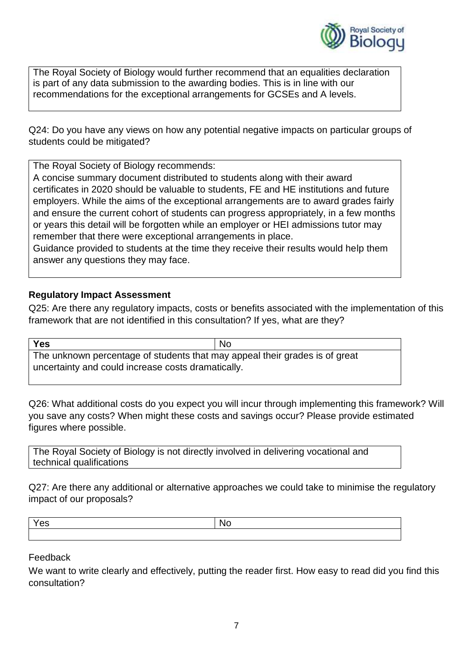

The Royal Society of Biology would further recommend that an equalities declaration is part of any data submission to the awarding bodies. This is in line with our recommendations for the exceptional arrangements for GCSEs and A levels.

Q24: Do you have any views on how any potential negative impacts on particular groups of students could be mitigated?

The Royal Society of Biology recommends:

A concise summary document distributed to students along with their award certificates in 2020 should be valuable to students, FE and HE institutions and future employers. While the aims of the exceptional arrangements are to award grades fairly and ensure the current cohort of students can progress appropriately, in a few months or years this detail will be forgotten while an employer or HEI admissions tutor may remember that there were exceptional arrangements in place.

Guidance provided to students at the time they receive their results would help them answer any questions they may face.

## **Regulatory Impact Assessment**

Q25: Are there any regulatory impacts, costs or benefits associated with the implementation of this framework that are not identified in this consultation? If yes, what are they?

**Yes** No The unknown percentage of students that may appeal their grades is of great uncertainty and could increase costs dramatically.

Q26: What additional costs do you expect you will incur through implementing this framework? Will you save any costs? When might these costs and savings occur? Please provide estimated figures where possible.

The Royal Society of Biology is not directly involved in delivering vocational and technical qualifications

Q27: Are there any additional or alternative approaches we could take to minimise the regulatory impact of our proposals?

Feedback

We want to write clearly and effectively, putting the reader first. How easy to read did you find this consultation?